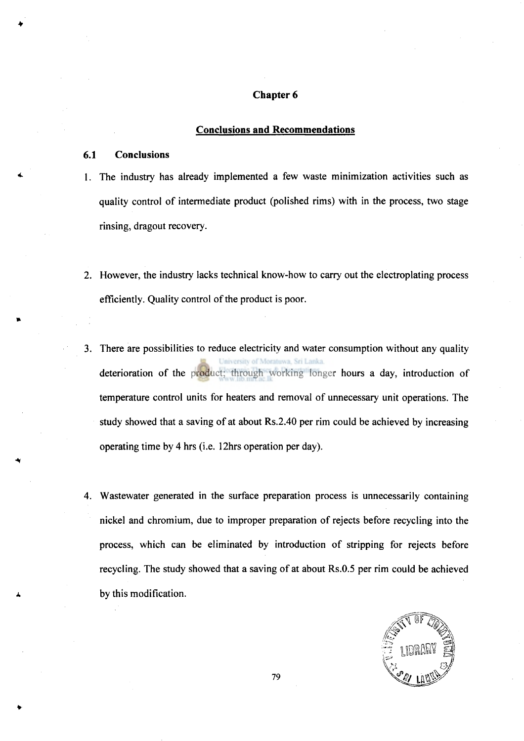## **Chapter 6**

#### **Conclusions and Recommendations**

# **6.1 Conclusions**

- 1. The industry has already implemented a few waste minimization activities such as quality control of intermediate product (polished rims) with in the process, two stage rinsing, dragout recovery.
- 2. However, the industry lacks technical know-how to carry out the electroplating process efficiently. Quality control of the product is poor.
- 3. There are possibilities to reduce electricity and water consumption without any quality University of Moratuwa, Sri Lanka. deterioration of the product; through working longer hours a day, introduction of temperature control units for heaters and removal of unnecessary unit operations. The study showed that a saving of at about Rs.2.40 per rim could be achieved by increasing operating time by 4 hrs (i.e. 12hrs operation per day).
- 4. Wastewater generated in the surface preparation process is unnecessarily containing nickel and chromium, due to improper preparation of rejects before recycling into the process, which can be eliminated by introduction of stripping for rejects before recycling. The study showed that a saving of at about Rs.0.5 per rim could be achieved by this modification.

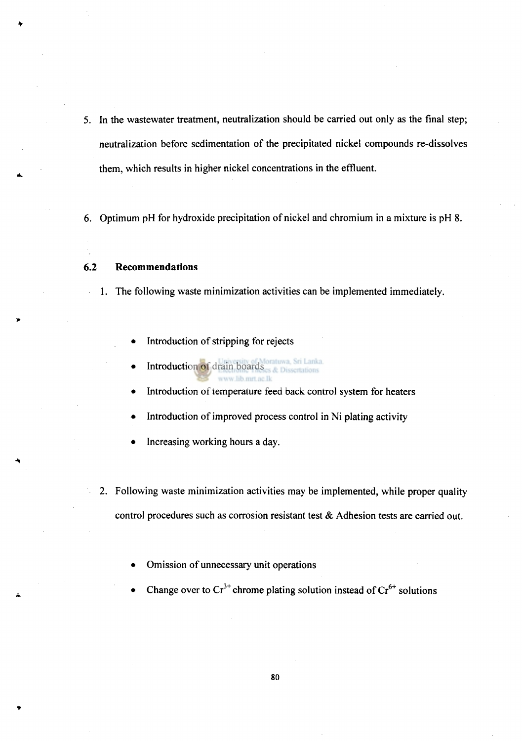- 5. In the wastewater treatment, neutralization should be carried out only as the final step; neutralization before sedimentation of the precipitated nickel compounds re-dissolves them, which results in higher nickel concentrations in the effluent.
- 6. Optimum pH for hydroxide precipitation of nickel and chromium in a mixture is pH 8.

## **6.2 Recommendations**

**1**. The following waste minimization activities can be implemented immediately.

- Introduction of stripping for rejects
- atuwa, Sri Lanka. Introduction of drain boards
- Introduction of temperature feed back control system for heaters
- Introduction of improved process control in Ni plating activity
- Increasing working hours a day.
- 2. Following waste minimization activities may be implemented, while proper quality control procedures such as corrosion resistant test & Adhesion tests are carried out.
	- Omission of unnecessary unit operations
	- Change over to  $Cr^{3+}$  chrome plating solution instead of  $Cr^{6+}$  solutions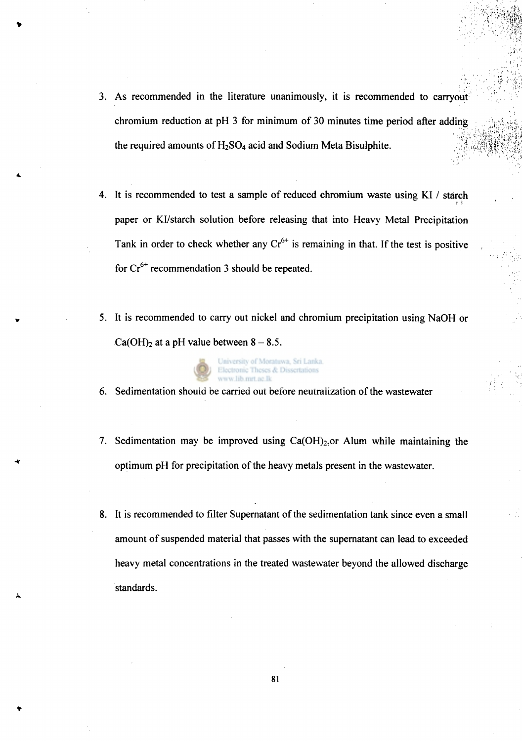- 3. As recommended in the literature unanimously, it is recommended to carryout chromium reduction at pH 3 for minimum of 30 minutes time period after adding the required amounts of **H2SO4** acid and Sodium Meta Bisulphite.
- **4.** It is recommended to test a sample of reduced chromium waste using KI / starch paper or Kl/starch solution before releasing that into Heavy Metal Precipitation Tank in order to check whether any  $Cr^{0+}$  is remaining in that. If the test is positive for  $Cr^{0+}$  recommendation 3 should be repeated.
- 5. It is recommended to carry out nickel and chromium precipitation using NaOH or  $Ca(OH)_2$  at a pH value between 8 – 8.5.



- 6. Sedimentation should be carried out before neutralization of the wastewater
- 7. Sedimentation may be improved using  $Ca(OH)_2$ , or Alum while maintaining the optimum pH for precipitation of the heavy metals present in the wastewater.
- 8. It is recommended to filter Supernatant of the sedimentation tank since even a small amount of suspended material that passes with the supernatant can lead to exceeded heavy metal concentrations in the treated wastewater beyond the allowed discharge standards.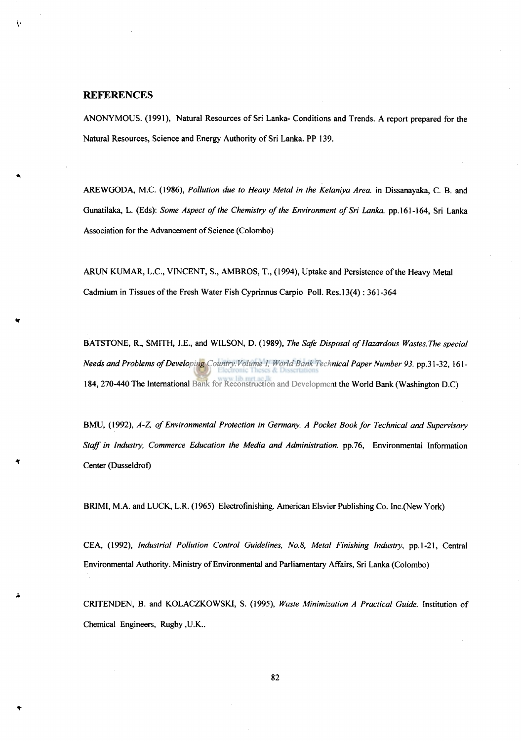### **REFERENCES**

**ANONYMOUS. (1991), Natural Resources of Sri Lanka- Conditions and Trends. A report prepared for the Natural Resources, Science and Energy Authority of Sri Lanka. PP 139.** 

**AREWGODA, M.C. (1986),** *Pollution due to Heavy Metal in the Kelaniya Area,* **in Dissanayaka, C. B. and Gunatilaka, L. (Eds):** *Some Aspect of the Chemistry of the Environment of Sri Lanka,* **pp. 161-164, Sri Lanka Association for the Advancement of Science (Colombo)** 

**ARUN KUMAR, L.C., VINCENT, S., AMBROS, T., (1994), Uptake and Persistence of the Heavy Metal Cadmium in Tissues of the Fresh Water Fish Cyprinnus Carpio Poll. Res. 13(4) : 361-364** 

**BATSTONE, R., SMITH, J.E., and WILSON, D. (1989),** *The Safe Disposal of Hazardous Wastes.The special Needs and Problems of Developing Country. Volume I, World Bank Technical Paper Number 93.* **pp.31 -32, 161- 184, 270-440 The International Bank for Reconstruction and Development the World Bank (Washington D.C)** 

**BMU, (1992),** *A-Z, of Environmental Protection in Germany. A Pocket Book for Technical and Supervisory Staff in Industry, Commerce Education the Media and Administration,* **pp.76, Environmental Information Center (Dusseldrof)** 

**BRIMI, M.A. and LUCK, L.R. (1965) Electrofinishing. American Elsvier Publishing Co. Inc.(New York)** 

**CEA, (1992),** *Industrial Pollution Control Guidelines, No.8, Metal Finishing Industry,* **pp. 1-21, Central Environmental Authority. Ministry of Environmental and Parliamentary Affairs, Sri Lanka (Colombo)** 

**CRITENDEN, B. and KOLACZKOWSKI, S. (1995),** *Waste Minimization A Practical Guide.* **Institution of Chemical Engineers, Rugby ,U.K..**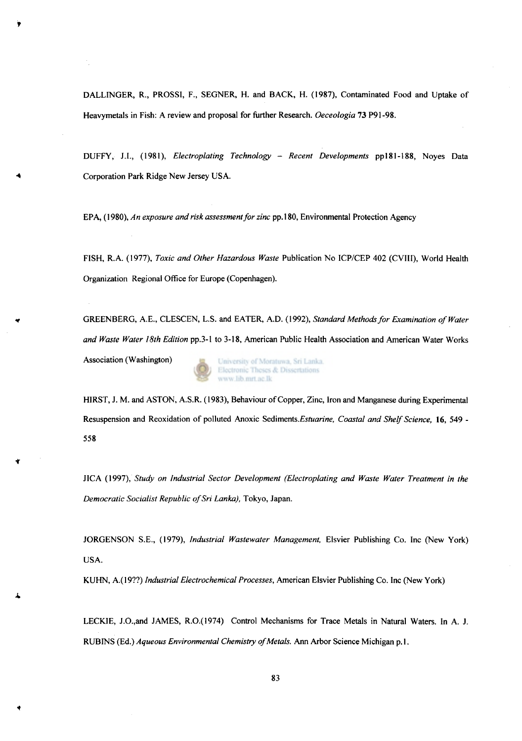**DALLINGER, R., PROSSI, F., SEGNER, H. and BACK, H. (1987), Contaminated Food and Uptake of Heavymetals in Fish: A review and proposal for further Research.** *Oeceologia* **73 P91-98.** 

**DUFFY, J.I., (1981),** *Electroplating Technology - Recent Developments* **ppl81-188, Noye s Data Corporation Park Ridge New Jersey USA.** 

**EPA, (1980),** *A n exposure and risk assessment for zinc* **pp. 180, Environmental Protection Agency** 

**FISH, R.A. (1977),** *Toxic and Other Hazardous Waste* **Publication No ICP/CEP 402 (CVIII), World Health Organization Regional Office for Europe (Copenhagen).** 

**GREENBERG, A.E., CLESCEN, L.S. and EATER, A.D. (1992),** *Standard Methods for Examination of Water and Waste Water 18th Edition* **pp.3-1 to 3-18, American Public Health Association and American Water Works** 

**Association (Washington)** 



**HIRST, J. M. and ASTON, A.S.R. (1983), Behaviour of Copper, Zinc, Iron and Manganese during Experimental Resuspension and Reoxidation of polluted Anoxic Sediments.Estuarine, Coastal and Shelf Science, 16, 549 -558** 

**JICA (1997),** *Study on Industrial Sector Development (Electroplating and Waste Water Treatment in the Democratic Socialist Republic of Sri Lanka),* **Tokyo, Japan.** 

**JORGENSON S.E., (1979),** *Industrial Wastewater Management,* **Elsvier Publishing Co. Inc (New York) USA.** 

**KUHN, A.(19??)** *Industrial Electrochemical Processes,* **American Elsvier Publishing Co. Inc (New York)** 

**LECKIE, J.O.,and JAMES, R.O.(1974) Control Mechanisms for Trace Metals in Natural Waters. In A. J. RUBINS (Ed.)** *Aqueous Environmental Chemistry of Metals.* **Ann Arbor Science Michigan p. 1.**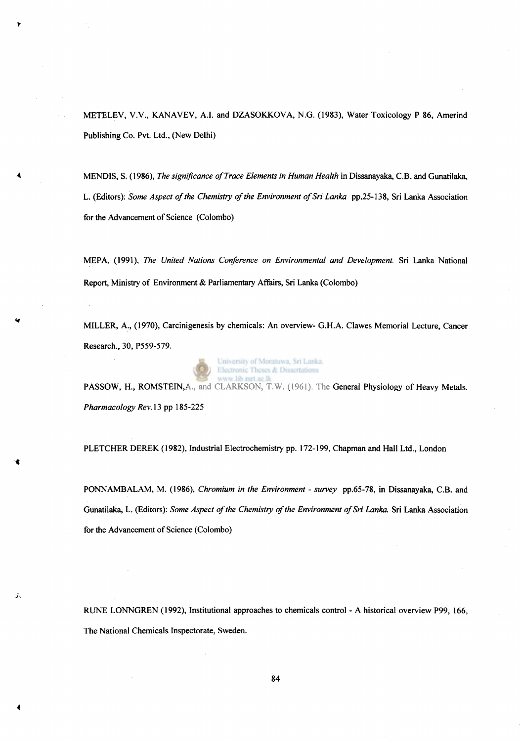**METELEV, V.V., KANAVEV, A.I. and DZASOKKOVA, N.G. (1983), Water Toxicology P 86, Amerind Publishing Co. Pvt. Ltd., (New Delhi)** 

**MENDIS, S. (1986),** *The significance of Trace Elements in Human Health* **in Dissanayaka, C.B. and Gunatilaka, L. (Editors):** *Some Aspect of the Chemistry of the Environment of Sri Lanka* **pp.25-138, Sri Lanka Association for the Advancement of Science (Colombo)** 

**MEPA, (1991),** *The United Nations Conference on Environmental and Development.* **Sri Lanka National Report, Ministry of Environment & Parliamentary Affairs, Sri Lanka (Colombo)** 

**MILLER, A., (1970), Carcinigenesis by chemicals: An overview- G.H.A. Clawes Memorial Lecture, Cancer Research., 30, P559-579.** 

> University of Moratuwa, Sri Lanka. Electronic Theses & Dissertations

PASSOW, H., ROMSTEIN, A., and CLARKSON, T.W. (1961). The General Physiology of Heavy Metals. *Pharmacology Rev.* **13 pp 185-225** 

**PLETCHER DEREK (1982), Industrial Electrochemistry pp. 172-199, Chapman and Hall Ltd., London** 

**PONNAMBALAM, M. (1986),** *Chromium in the Environment - survey* **pp.65-78, in Dissanayaka, C.B. and Gunatilaka, L. (Editors):** *Some Aspect of the Chemistry of the Environment of Sri Lanka.* **Sri Lanka Association for the Advancement of Science (Colombo)** 

**RUNE LONNGREN (1992), Institutional approaches to chemicals control - A historical overview P99, 166, The National Chemicals Inspectorate, Sweden.** 

J.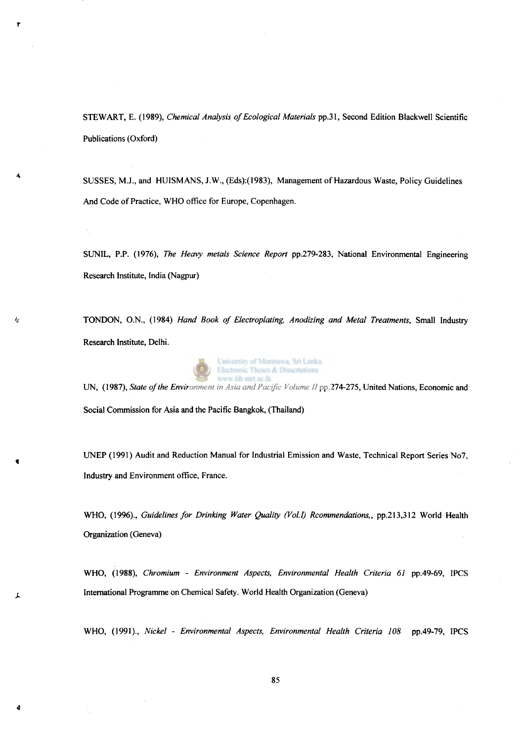**STEWART, E. (1989),** *Chemical Analysis of Ecological Materials* **pp.31, Second Edition Blackwell Scientific Publications (Oxford)** 

**SUSSES, M.J., and HUISMANS, J.W., (Eds):(1983), Management of Hazardous Waste, Policy Guidelines And Code of Practice, WHO office for Europe, Copenhagen.** 

**SUNIL, P.P. (1976),** *The Heavy metals Science Report* **pp.279-283, National Environmental Engineering Research Institute, India (Nagpur)** 

**TONDON, O.N., (1984)** *Hand Book of Electroplating, Anodizing and Metal Treatments,* **Small Industry Research Institute, Delhi.** 



 $\overline{t}$ 

J.

4

**UN, (1987),** *State of the Environment in Asia and Pacific Volume II* **pp.274-275, United Nations, Economic and Social Commission for Asia and the Pacific Bangkok, (Thailand)** 

**UNEP (1991) Audit and Reduction Manual for Industrial Emission and Waste, Technical Report Series No7, Industry and Environment office, France.** 

**WHO, (1996).,** *Guidelines for Drinking Water Quality (Vol.1) Rcommendations,,* **pp.213,312 World Health Organization (Geneva)** 

**WHO, (1988),** *Chromium - Environment Aspects, Environmental Health Criteria 61* **pp.49-69, IPCS International Programme on Chemical Safety. World Health Organization (Geneva)** 

**WHO, (1991).,** *Nickel - Environmental Aspects, Environmental Health Criteria 108* **pp.49-79, IPCS**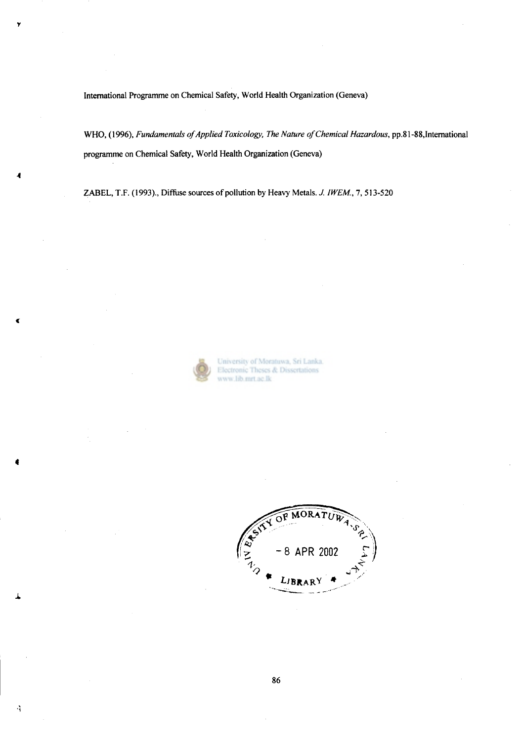**International Programme on Chemical Safety, World Health Organization (Geneva)** 

**WHO, (1996),** *Fundamentals of Applied Toxicology, The Nature of Chemical Hazardous,* **pp.81-88,International programme on Chemical Safety, World Health Organization (Geneva)** 

**ZABEL, T.F. (1993)., Diffuse sources of pollution by Heavy Metals.** *J. IWEM.,* **7, 513-520** 



University of Moratuwa, Sri Lanka. Electronic Theses & Dissertations www.lib.mrt.ac.lk